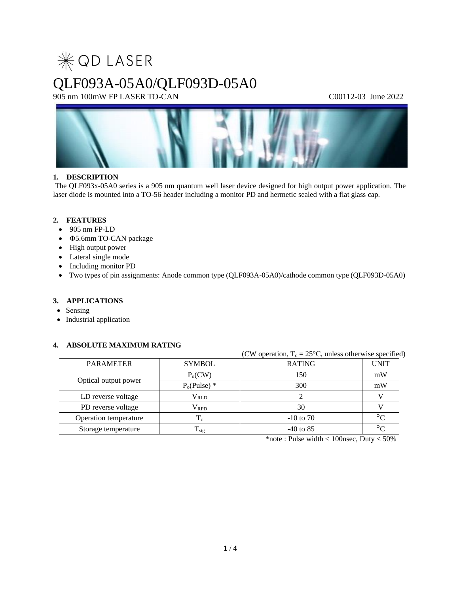# $*$ QD LASER

# QLF093A-05A0/QLF093D-05A0

905 nm 100mW FP LASER TO-CAN C00112-03 June 2022



### **1. DESCRIPTION**

The QLF093x-05A0 series is a 905 nm quantum well laser device designed for high output power application. The laser diode is mounted into a TO-56 header including a monitor PD and hermetic sealed with a flat glass cap.

#### **2. FEATURES**

- $\bullet$  905 nm FP-LD
- $\Phi$ **5.6mm TO-CAN** package
- High output power
- Lateral single mode
- Including monitor PD
- Two types of pin assignments: Anode common type (QLF093A-05A0)/cathode common type (QLF093D-05A0)

### **3. APPLICATIONS**

- Sensing
- Industrial application

### **4. ABSOLUTE MAXIMUM RATING**

|                       | (CW operation, $T_c = 25^{\circ}C$ , unless otherwise specified) |               |             |  |  |  |
|-----------------------|------------------------------------------------------------------|---------------|-------------|--|--|--|
| <b>PARAMETER</b>      | <b>SYMBOL</b>                                                    | <b>RATING</b> | <b>UNIT</b> |  |  |  |
| Optical output power  | P <sub>o</sub> (CW)                                              | 150           | mW          |  |  |  |
|                       | $Po(Pulse) *$                                                    | 300           | mW          |  |  |  |
| LD reverse voltage    | $\rm V_{RLD}$                                                    |               |             |  |  |  |
| PD reverse voltage    | $\rm V_{RPD}$                                                    | 30            |             |  |  |  |
| Operation temperature | $T_c$                                                            | $-10$ to 70   | $\circ$     |  |  |  |
| Storage temperature   | $T_{\rm{stg}}$                                                   | $-40$ to 85   | $\circ$     |  |  |  |

\*note : Pulse width < 100nsec, Duty < 50%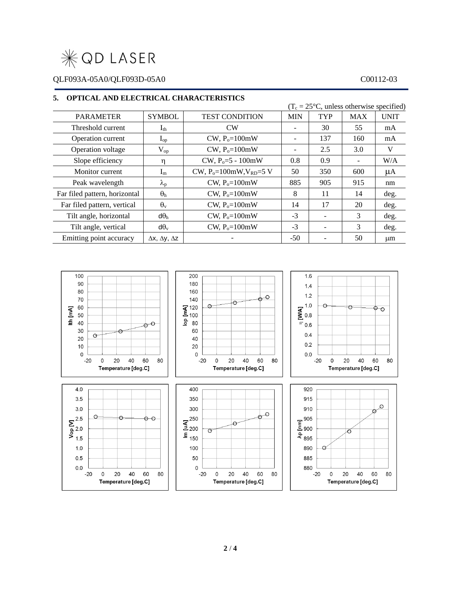

# QLF093A-05A0/QLF093D-05A0 C00112-03

|                               |                                      |                                    | $(T_c = 25^{\circ}C$ , unless otherwise specified) |            |            |             |
|-------------------------------|--------------------------------------|------------------------------------|----------------------------------------------------|------------|------------|-------------|
| <b>PARAMETER</b>              | <b>SYMBOL</b>                        | <b>TEST CONDITION</b>              | <b>MIN</b>                                         | <b>TYP</b> | <b>MAX</b> | <b>UNIT</b> |
| Threshold current             | $I_{th}$                             | CW                                 |                                                    | 30         | 55         | mA          |
| Operation current             | $I_{op}$                             | $CW$ , $P_0 = 100$ mW              |                                                    | 137        | 160        | mA          |
| Operation voltage             | $V_{op}$                             | $CW$ , $P_0 = 100$ mW              | ۰                                                  | 2.5        | 3.0        | V           |
| Slope efficiency              | η                                    | $CW, P_0 = 5 - 100mW$              | 0.8                                                | 0.9        |            | W/A         |
| Monitor current               | $I_{m}$                              | CW, $P_0 = 100$ mW, $V_{RD} = 5$ V | 50                                                 | 350        | 600        | μA          |
| Peak wavelength               | $\lambda_{\rm p}$                    | CW, $P_0 = 100$ mW                 | 885                                                | 905        | 915        | nm          |
| Far filed pattern, horizontal | $\theta_h$                           | CW, $P_0 = 100$ mW                 | 8                                                  | 11         | 14         | deg.        |
| Far filed pattern, vertical   | $\theta_{v}$                         | CW, $P_0 = 100mW$                  | 14                                                 | 17         | 20         | deg.        |
| Tilt angle, horizontal        | $d\theta_h$                          | CW, $P_0 = 100mW$                  | $-3$                                               |            | 3          | deg.        |
| Tilt angle, vertical          | $d\theta_v$                          | CW, $P_0 = 100mW$                  | $-3$                                               |            | 3          | deg.        |
| Emitting point accuracy       | $\Delta x$ , $\Delta y$ , $\Delta z$ |                                    | $-50$                                              |            | 50         | μm          |

#### **5. OPTICAL AND ELECTRICAL CHARACTERISTICS**

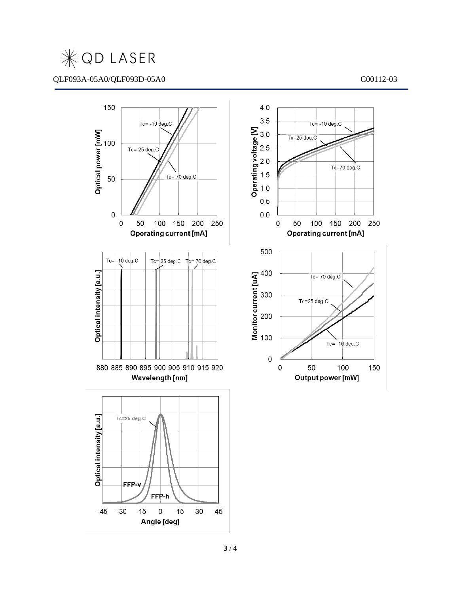**WOD LASER** 

# QLF093A-05A0/QLF093D-05A0 C00112-03